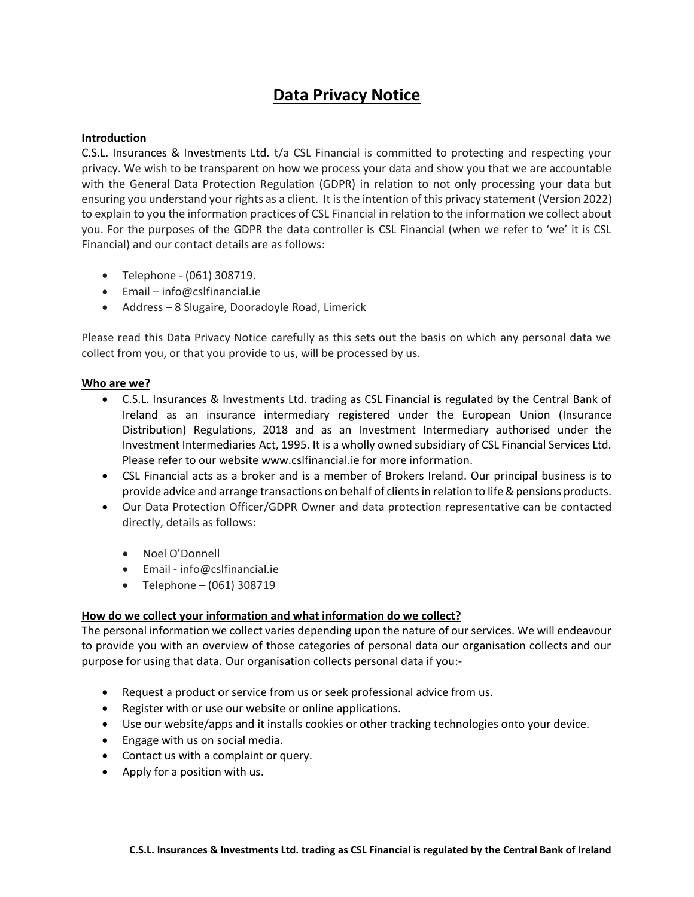# **Data Privacy Notice**

## **Introduction**

C.S.L. Insurances & Investments Ltd. t/a CSL Financial is committed to protecting and respecting your privacy. We wish to be transparent on how we process your data and show you that we are accountable with the General Data Protection Regulation (GDPR) in relation to not only processing your data but ensuring you understand your rights as a client. It is the intention of this privacy statement (Version 2022) to explain to you the information practices of CSL Financial in relation to the information we collect about you. For the purposes of the GDPR the data controller is CSL Financial (when we refer to 'we' it is CSL Financial) and our contact details are as follows:

- Telephone (061) 308719.
- Email info@cslfinancial.ie
- Address 8 Slugaire, Dooradoyle Road, Limerick

Please read this Data Privacy Notice carefully as this sets out the basis on which any personal data we collect from you, or that you provide to us, will be processed by us.

### **Who are we?**

- C.S.L. Insurances & Investments Ltd. trading as CSL Financial is regulated by the Central Bank of Ireland as an insurance intermediary registered under the European Union (Insurance Distribution) Regulations, 2018 and as an Investment Intermediary authorised under the Investment Intermediaries Act, 1995. It is a wholly owned subsidiary of CSL Financial Services Ltd. Please refer to our website www.cslfinancial.ie for more information.
- CSL Financial acts as a broker and is a member of Brokers Ireland. Our principal business is to provide advice and arrange transactions on behalf of clients in relation to life & pensions products.
- Our Data Protection Officer/GDPR Owner and data protection representative can be contacted directly, details as follows:
	- Noel O'Donnell
	- Email info@cslfinancial.ie
	- $\bullet$  Telephone (061) 308719

### **How do we collect your information and what information do we collect?**

The personal information we collect varies depending upon the nature of our services. We will endeavour to provide you with an overview of those categories of personal data our organisation collects and our purpose for using that data. Our organisation collects personal data if you:-

- Request a product or service from us or seek professional advice from us*.*
- Register with or use our website or online applications*.*
- Use our website/apps and it installs cookies or other tracking technologies onto your device.
- Engage with us on social media.
- Contact us with a complaint or query.
- Apply for a position with us.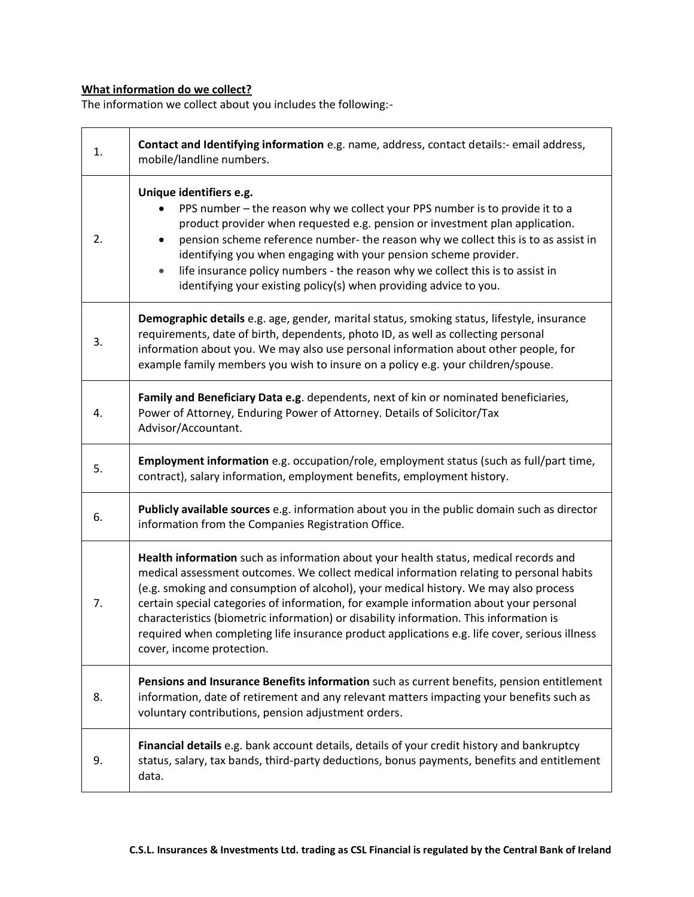# **What information do we collect?**

The information we collect about you includes the following:-

| 1. | Contact and Identifying information e.g. name, address, contact details:- email address,<br>mobile/landline numbers.                                                                                                                                                                                                                                                                                                                                                                                                                                                                      |
|----|-------------------------------------------------------------------------------------------------------------------------------------------------------------------------------------------------------------------------------------------------------------------------------------------------------------------------------------------------------------------------------------------------------------------------------------------------------------------------------------------------------------------------------------------------------------------------------------------|
| 2. | Unique identifiers e.g.<br>PPS number - the reason why we collect your PPS number is to provide it to a<br>product provider when requested e.g. pension or investment plan application.<br>pension scheme reference number- the reason why we collect this is to as assist in<br>identifying you when engaging with your pension scheme provider.<br>life insurance policy numbers - the reason why we collect this is to assist in<br>$\bullet$<br>identifying your existing policy(s) when providing advice to you.                                                                     |
| 3. | Demographic details e.g. age, gender, marital status, smoking status, lifestyle, insurance<br>requirements, date of birth, dependents, photo ID, as well as collecting personal<br>information about you. We may also use personal information about other people, for<br>example family members you wish to insure on a policy e.g. your children/spouse.                                                                                                                                                                                                                                |
| 4. | Family and Beneficiary Data e.g. dependents, next of kin or nominated beneficiaries,<br>Power of Attorney, Enduring Power of Attorney. Details of Solicitor/Tax<br>Advisor/Accountant.                                                                                                                                                                                                                                                                                                                                                                                                    |
| 5. | Employment information e.g. occupation/role, employment status (such as full/part time,<br>contract), salary information, employment benefits, employment history.                                                                                                                                                                                                                                                                                                                                                                                                                        |
| 6. | Publicly available sources e.g. information about you in the public domain such as director<br>information from the Companies Registration Office.                                                                                                                                                                                                                                                                                                                                                                                                                                        |
| 7. | Health information such as information about your health status, medical records and<br>medical assessment outcomes. We collect medical information relating to personal habits<br>(e.g. smoking and consumption of alcohol), your medical history. We may also process<br>certain special categories of information, for example information about your personal<br>characteristics (biometric information) or disability information. This information is<br>required when completing life insurance product applications e.g. life cover, serious illness<br>cover, income protection. |
| 8. | Pensions and Insurance Benefits information such as current benefits, pension entitlement<br>information, date of retirement and any relevant matters impacting your benefits such as<br>voluntary contributions, pension adjustment orders.                                                                                                                                                                                                                                                                                                                                              |
| 9. | Financial details e.g. bank account details, details of your credit history and bankruptcy<br>status, salary, tax bands, third-party deductions, bonus payments, benefits and entitlement<br>data.                                                                                                                                                                                                                                                                                                                                                                                        |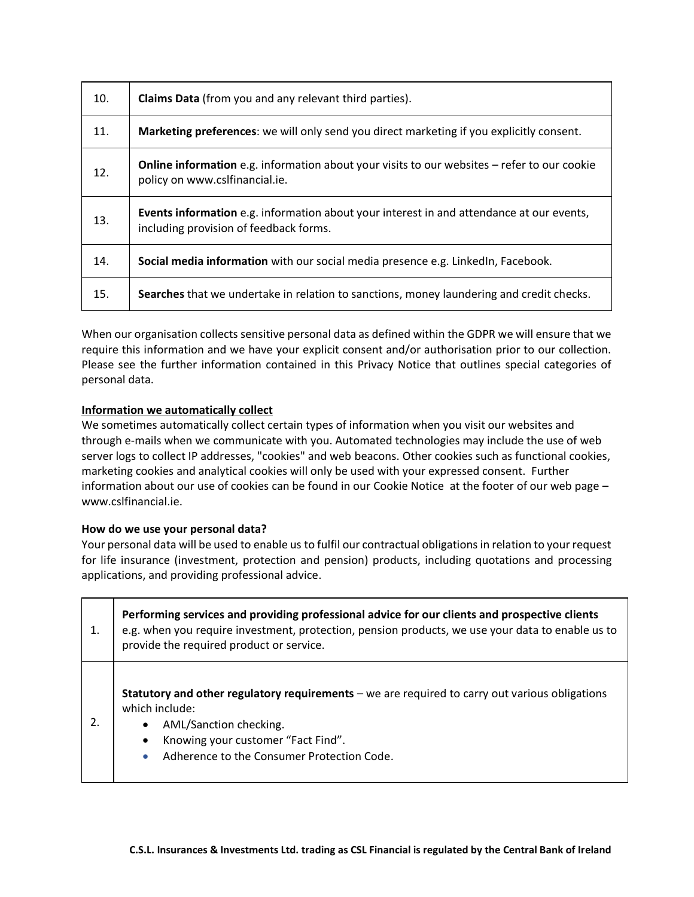| 10. | <b>Claims Data</b> (from you and any relevant third parties).                                                                             |
|-----|-------------------------------------------------------------------------------------------------------------------------------------------|
| 11. | Marketing preferences: we will only send you direct marketing if you explicitly consent.                                                  |
| 12. | <b>Online information</b> e.g. information about your visits to our websites – refer to our cookie<br>policy on www.cslfinancial.ie.      |
| 13. | <b>Events information</b> e.g. information about your interest in and attendance at our events,<br>including provision of feedback forms. |
| 14. | Social media information with our social media presence e.g. LinkedIn, Facebook.                                                          |
| 15. | Searches that we undertake in relation to sanctions, money laundering and credit checks.                                                  |

When our organisation collects sensitive personal data as defined within the GDPR we will ensure that we require this information and we have your explicit consent and/or authorisation prior to our collection. Please see the further information contained in this Privacy Notice that outlines special categories of personal data.

# **Information we automatically collect**

We sometimes automatically collect certain types of information when you visit our websites and through e-mails when we communicate with you. Automated technologies may include the use of web server logs to collect IP addresses, "cookies" and web beacons. Other cookies such as functional cookies, marketing cookies and analytical cookies will only be used with your expressed consent. Further information about our use of cookies can be found in our [Cookie Notice](https://www.aon.com/about-aon/cookies.jsp) at the footer of our web page – www.cslfinancial.ie.

### **How do we use your personal data?**

Your personal data will be used to enable us to fulfil our contractual obligations in relation to your request for life insurance (investment, protection and pension) products, including quotations and processing applications, and providing professional advice.

|    | Performing services and providing professional advice for our clients and prospective clients<br>e.g. when you require investment, protection, pension products, we use your data to enable us to<br>provide the required product or service. |
|----|-----------------------------------------------------------------------------------------------------------------------------------------------------------------------------------------------------------------------------------------------|
| 2. | Statutory and other regulatory requirements - we are required to carry out various obligations<br>which include:<br>AML/Sanction checking.<br>Knowing your customer "Fact Find".<br>Adherence to the Consumer Protection Code.<br>$\bullet$   |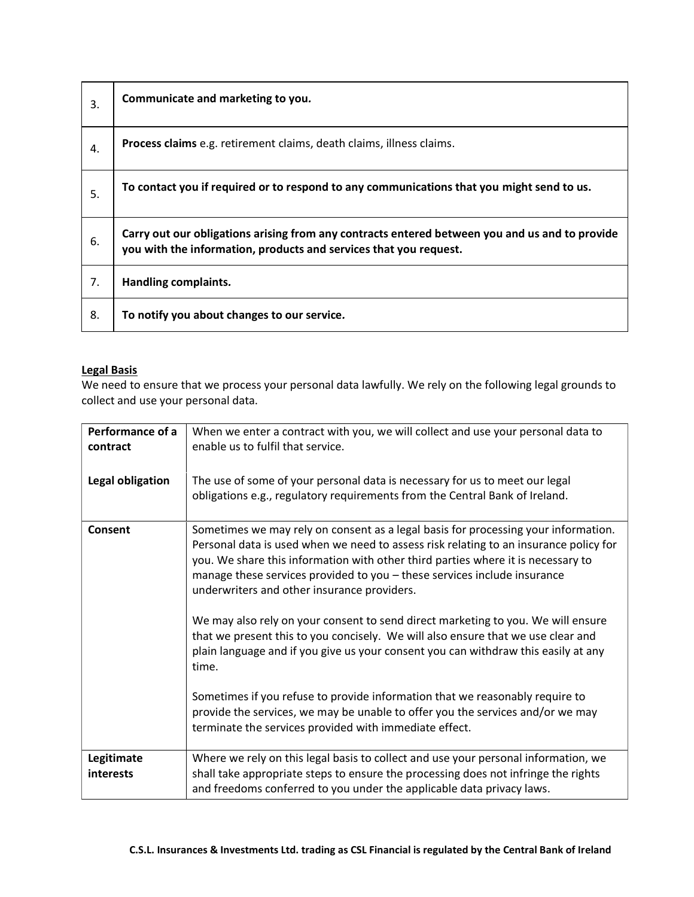| 3. | Communicate and marketing to you.                                                                                                                                   |
|----|---------------------------------------------------------------------------------------------------------------------------------------------------------------------|
| 4. | Process claims e.g. retirement claims, death claims, illness claims.                                                                                                |
| 5. | To contact you if required or to respond to any communications that you might send to us.                                                                           |
| 6. | Carry out our obligations arising from any contracts entered between you and us and to provide<br>you with the information, products and services that you request. |
| 7. | Handling complaints.                                                                                                                                                |
| 8. | To notify you about changes to our service.                                                                                                                         |

# **Legal Basis**

We need to ensure that we process your personal data lawfully. We rely on the following legal grounds to collect and use your personal data.

| Performance of a<br>contract | When we enter a contract with you, we will collect and use your personal data to<br>enable us to fulfil that service.                                                                                                                                                                                                                                                                                                                                                                                                                                                                                                                                                                                                                                                                                                                                                                         |
|------------------------------|-----------------------------------------------------------------------------------------------------------------------------------------------------------------------------------------------------------------------------------------------------------------------------------------------------------------------------------------------------------------------------------------------------------------------------------------------------------------------------------------------------------------------------------------------------------------------------------------------------------------------------------------------------------------------------------------------------------------------------------------------------------------------------------------------------------------------------------------------------------------------------------------------|
| Legal obligation             | The use of some of your personal data is necessary for us to meet our legal<br>obligations e.g., regulatory requirements from the Central Bank of Ireland.                                                                                                                                                                                                                                                                                                                                                                                                                                                                                                                                                                                                                                                                                                                                    |
| Consent                      | Sometimes we may rely on consent as a legal basis for processing your information.<br>Personal data is used when we need to assess risk relating to an insurance policy for<br>you. We share this information with other third parties where it is necessary to<br>manage these services provided to you - these services include insurance<br>underwriters and other insurance providers.<br>We may also rely on your consent to send direct marketing to you. We will ensure<br>that we present this to you concisely. We will also ensure that we use clear and<br>plain language and if you give us your consent you can withdraw this easily at any<br>time.<br>Sometimes if you refuse to provide information that we reasonably require to<br>provide the services, we may be unable to offer you the services and/or we may<br>terminate the services provided with immediate effect. |
| Legitimate<br>interests      | Where we rely on this legal basis to collect and use your personal information, we<br>shall take appropriate steps to ensure the processing does not infringe the rights<br>and freedoms conferred to you under the applicable data privacy laws.                                                                                                                                                                                                                                                                                                                                                                                                                                                                                                                                                                                                                                             |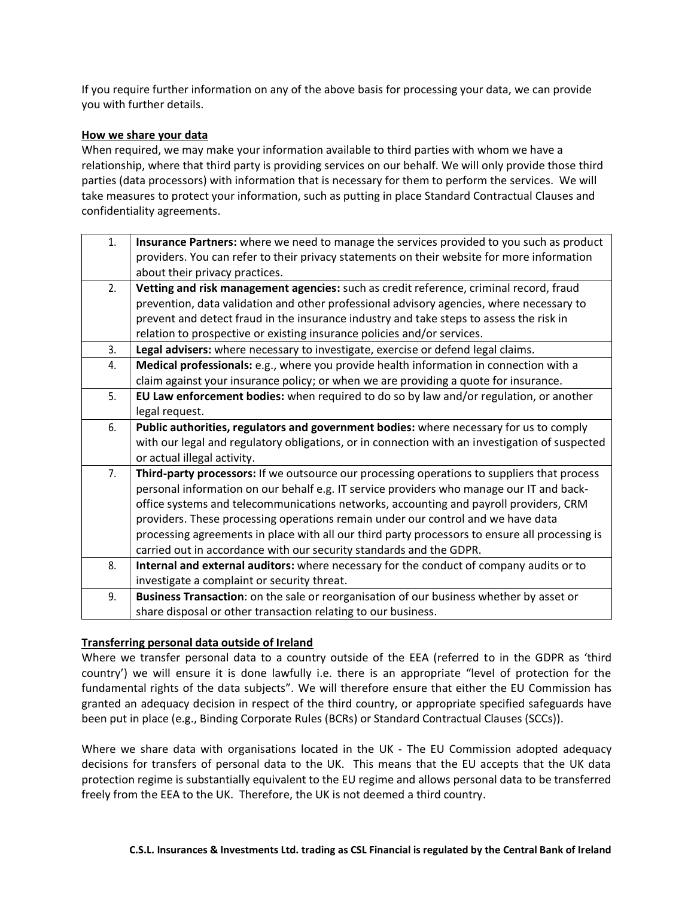If you require further information on any of the above basis for processing your data, we can provide you with further details.

#### **How we share your data**

When required, we may make your information available to third parties with whom we have a relationship, where that third party is providing services on our behalf. We will only provide those third parties (data processors) with information that is necessary for them to perform the services. We will take measures to protect your information, such as putting in place Standard Contractual Clauses and confidentiality agreements.

| 1. | Insurance Partners: where we need to manage the services provided to you such as product       |
|----|------------------------------------------------------------------------------------------------|
|    | providers. You can refer to their privacy statements on their website for more information     |
|    | about their privacy practices.                                                                 |
| 2. | Vetting and risk management agencies: such as credit reference, criminal record, fraud         |
|    | prevention, data validation and other professional advisory agencies, where necessary to       |
|    | prevent and detect fraud in the insurance industry and take steps to assess the risk in        |
|    | relation to prospective or existing insurance policies and/or services.                        |
| 3. | Legal advisers: where necessary to investigate, exercise or defend legal claims.               |
| 4. | Medical professionals: e.g., where you provide health information in connection with a         |
|    | claim against your insurance policy; or when we are providing a quote for insurance.           |
| 5. | EU Law enforcement bodies: when required to do so by law and/or regulation, or another         |
|    | legal request.                                                                                 |
| 6. | Public authorities, regulators and government bodies: where necessary for us to comply         |
|    | with our legal and regulatory obligations, or in connection with an investigation of suspected |
|    | or actual illegal activity.                                                                    |
| 7. | Third-party processors: If we outsource our processing operations to suppliers that process    |
|    | personal information on our behalf e.g. IT service providers who manage our IT and back-       |
|    | office systems and telecommunications networks, accounting and payroll providers, CRM          |
|    | providers. These processing operations remain under our control and we have data               |
|    | processing agreements in place with all our third party processors to ensure all processing is |
|    | carried out in accordance with our security standards and the GDPR.                            |
| 8. | Internal and external auditors: where necessary for the conduct of company audits or to        |
|    | investigate a complaint or security threat.                                                    |
| 9. | Business Transaction: on the sale or reorganisation of our business whether by asset or        |
|    | share disposal or other transaction relating to our business.                                  |

### **Transferring personal data outside of Ireland**

Where we transfer personal data to a country outside of the EEA (referred to in the GDPR as 'third country') we will ensure it is done lawfully i.e. there is an appropriate "level of protection for the fundamental rights of the data subjects". We will therefore ensure that either the EU Commission has granted an adequacy decision in respect of the third country, or appropriate specified safeguards have been put in place (e.g., Binding Corporate Rules (BCRs) or Standard Contractual Clauses (SCCs)).

Where we share data with organisations located in the UK - The EU Commission adopted adequacy decisions for transfers of personal data to the UK. This means that the EU accepts that the UK data protection regime is substantially equivalent to the EU regime and allows personal data to be transferred freely from the EEA to the UK. Therefore, the UK is not deemed a third country.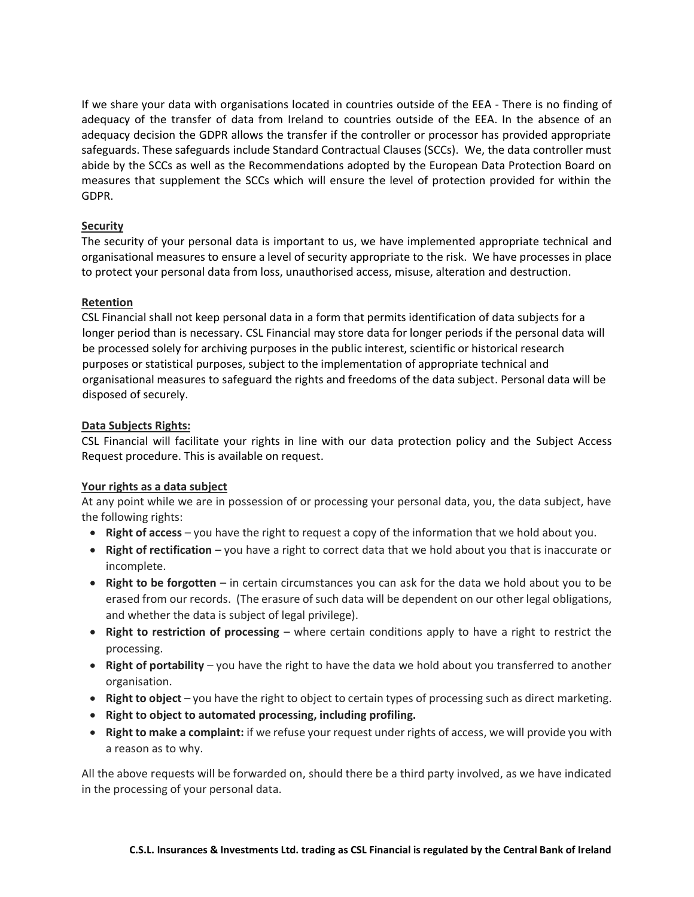If we share your data with organisations located in countries outside of the EEA - There is no finding of adequacy of the transfer of data from Ireland to countries outside of the EEA. In the absence of an adequacy decision the GDPR allows the transfer if the controller or processor has provided appropriate safeguards. These safeguards include Standard Contractual Clauses (SCCs). We, the data controller must abide by the SCCs as well as the Recommendations adopted by the European Data Protection Board on measures that supplement the SCCs which will ensure the level of protection provided for within the GDPR.

## **Security**

The security of your personal data is important to us, we have implemented appropriate technical and organisational measures to ensure a level of security appropriate to the risk. We have processes in place to protect your personal data from loss, unauthorised access, misuse, alteration and destruction.

# **Retention**

CSL Financial shall not keep personal data in a form that permits identification of data subjects for a longer period than is necessary. CSL Financial may store data for longer periods if the personal data will be processed solely for archiving purposes in the public interest, scientific or historical research purposes or statistical purposes, subject to the implementation of appropriate technical and organisational measures to safeguard the rights and freedoms of the data subject. Personal data will be disposed of securely.

# **Data Subjects Rights:**

CSL Financial will facilitate your rights in line with our data protection policy and the [Subject Access](https://ibass-my.sharepoint.com/personal/linda_brokersireland_ie/Documents/Personal%20Data/Guidance%20and%20Support%20Docs/Data%20Protection%20Subject-Access-Request-PolicyV2.docx)  [Request procedure.](https://ibass-my.sharepoint.com/personal/linda_brokersireland_ie/Documents/Personal%20Data/Guidance%20and%20Support%20Docs/Data%20Protection%20Subject-Access-Request-PolicyV2.docx) This is available on request.

### **Your rights as a data subject**

At any point while we are in possession of or processing your personal data, you, the data subject, have the following rights:

- **Right of access** you have the right to request a copy of the information that we hold about you.
- **Right of rectification** you have a right to correct data that we hold about you that is inaccurate or incomplete.
- **Right to be forgotten** in certain circumstances you can ask for the data we hold about you to be erased from our records. (The erasure of such data will be dependent on our other legal obligations, and whether the data is subject of legal privilege).
- **Right to restriction of processing** where certain conditions apply to have a right to restrict the processing.
- **Right of portability** you have the right to have the data we hold about you transferred to another organisation.
- **Right to object** you have the right to object to certain types of processing such as direct marketing.
- **Right to object to automated processing, including profiling.**
- **Right to make a complaint:** if we refuse your request under rights of access, we will provide you with a reason as to why.

All the above requests will be forwarded on, should there be a third party involved, as we have indicated in the processing of your personal data.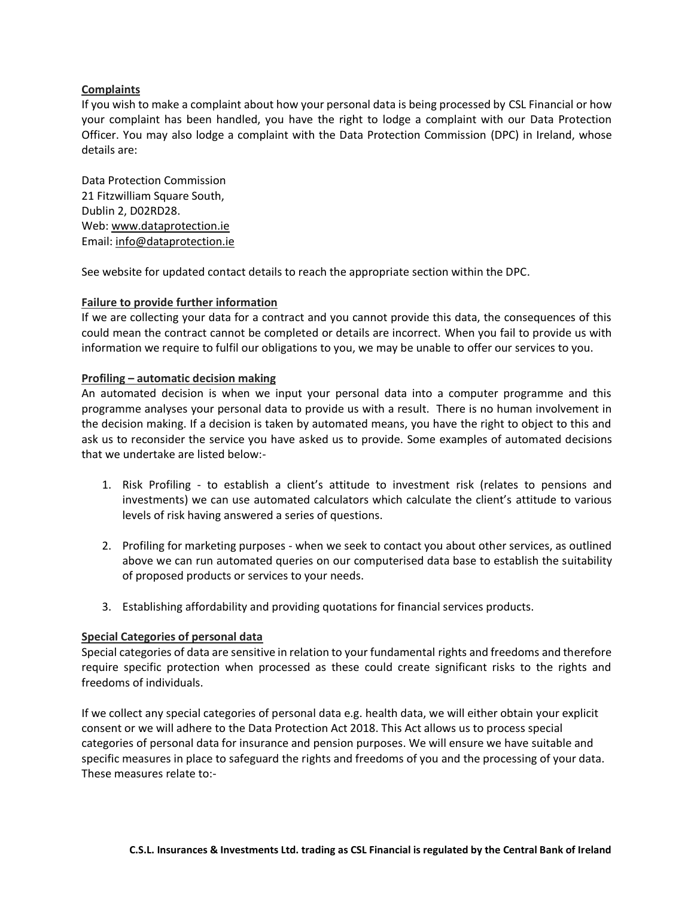## **Complaints**

If you wish to make a complaint about how your personal data is being processed by CSL Financial or how your complaint has been handled, you have the right to lodge a complaint with our Data Protection Officer. You may also lodge a complaint with the Data Protection Commission (DPC) in Ireland, whose details are:

Data Protection Commission 21 Fitzwilliam Square South, Dublin 2, D02RD28. Web: [www.dataprotection.ie](http://www.dataprotection.ie/) Email: [info@dataprotection.ie](mailto:info@dataprotection.ie)

See website for updated contact details to reach the appropriate section within the DPC.

#### **Failure to provide further information**

If we are collecting your data for a contract and you cannot provide this data, the consequences of this could mean the contract cannot be completed or details are incorrect. When you fail to provide us with information we require to fulfil our obligations to you, we may be unable to offer our services to you.

#### **Profiling – automatic decision making**

An automated decision is when we input your personal data into a computer programme and this programme analyses your personal data to provide us with a result. There is no human involvement in the decision making. If a decision is taken by automated means, you have the right to object to this and ask us to reconsider the service you have asked us to provide. Some examples of automated decisions that we undertake are listed below:-

- 1. Risk Profiling to establish a client's attitude to investment risk (relates to pensions and investments) we can use automated calculators which calculate the client's attitude to various levels of risk having answered a series of questions.
- 2. Profiling for marketing purposes when we seek to contact you about other services, as outlined above we can run automated queries on our computerised data base to establish the suitability of proposed products or services to your needs.
- 3. Establishing affordability and providing quotations for financial services products.

#### **Special Categories of personal data**

Special categories of data are sensitive in relation to your fundamental rights and freedoms and therefore require specific protection when processed as these could create significant risks to the rights and freedoms of individuals.

If we collect any special categories of personal data e.g. health data, we will either obtain your explicit consent or we will adhere to the Data Protection Act 2018. This Act allows us to process special categories of personal data for insurance and pension purposes. We will ensure we have suitable and specific measures in place to safeguard the rights and freedoms of you and the processing of your data. These measures relate to:-